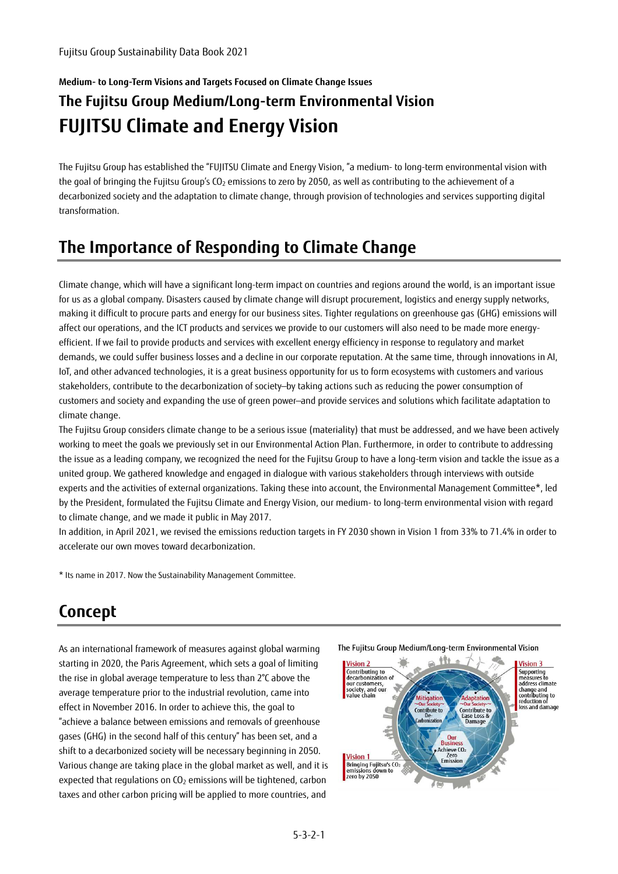# **Medium- to Long-Term Visions and Targets Focused on Climate Change Issues**

## **The Fujitsu Group Medium/Long-term Environmental Vision FUJITSU Climate and Energy Vision**

The Fujitsu Group has established the "FUJITSU Climate and Energy Vision, "a medium- to long-term environmental vision with the goal of bringing the Fujitsu Group's CO<sub>2</sub> emissions to zero by 2050, as well as contributing to the achievement of a decarbonized society and the adaptation to climate change, through provision of technologies and services supporting digital transformation.

## **The Importance of Responding to Climate Change**

Climate change, which will have a significant long-term impact on countries and regions around the world, is an important issue for us as a global company. Disasters caused by climate change will disrupt procurement, logistics and energy supply networks, making it difficult to procure parts and energy for our business sites. Tighter regulations on greenhouse gas (GHG) emissions will affect our operations, and the ICT products and services we provide to our customers will also need to be made more energyefficient. If we fail to provide products and services with excellent energy efficiency in response to regulatory and market demands, we could suffer business losses and a decline in our corporate reputation. At the same time, through innovations in AI, IoT, and other advanced technologies, it is a great business opportunity for us to form ecosystems with customers and various stakeholders, contribute to the decarbonization of society—by taking actions such as reducing the power consumption of customers and society and expanding the use of green power—and provide services and solutions which facilitate adaptation to climate change.

The Fujitsu Group considers climate change to be a serious issue (materiality) that must be addressed, and we have been actively working to meet the goals we previously set in our Environmental Action Plan. Furthermore, in order to contribute to addressing the issue as a leading company, we recognized the need for the Fujitsu Group to have a long-term vision and tackle the issue as a united group. We gathered knowledge and engaged in dialogue with various stakeholders through interviews with outside experts and the activities of external organizations. Taking these into account, the Environmental Management Committee\*, led by the President, formulated the Fujitsu Climate and Energy Vision, our medium- to long-term environmental vision with regard to climate change, and we made it public in May 2017.

In addition, in April 2021, we revised the emissions reduction targets in FY 2030 shown in Vision 1 from 33% to 71.4% in order to accelerate our own moves toward decarbonization.

\* Its name in 2017. Now the Sustainability Management Committee.

## **Concept**

As an international framework of measures against global warming starting in 2020, the Paris Agreement, which sets a goal of limiting the rise in global average temperature to less than 2°C above the average temperature prior to the industrial revolution, came into effect in November 2016. In order to achieve this, the goal to "achieve a balance between emissions and removals of greenhouse gases (GHG) in the second half of this century" has been set, and a shift to a decarbonized society will be necessary beginning in 2050. Various change are taking place in the global market as well, and it is expected that regulations on  $CO<sub>2</sub>$  emissions will be tightened, carbon taxes and other carbon pricing will be applied to more countries, and

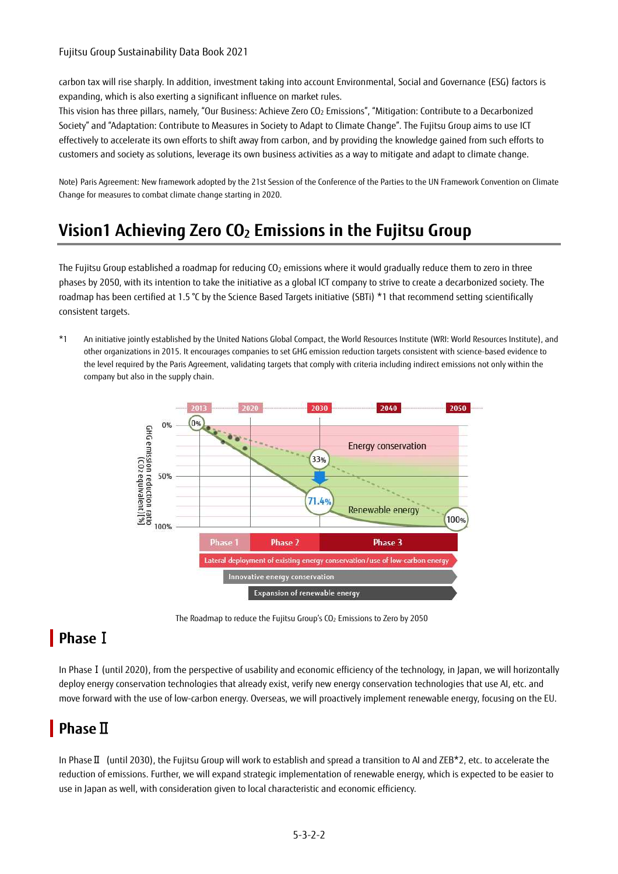### Fujitsu Group Sustainability Data Book 2021

carbon tax will rise sharply. In addition, investment taking into account Environmental, Social and Governance (ESG) factors is expanding, which is also exerting a significant influence on market rules.

This vision has three pillars, namely, "Our Business: Achieve Zero CO<sub>2</sub> Emissions", "Mitigation: Contribute to a Decarbonized Society" and "Adaptation: Contribute to Measures in Society to Adapt to Climate Change". The Fujitsu Group aims to use ICT effectively to accelerate its own efforts to shift away from carbon, and by providing the knowledge gained from such efforts to customers and society as solutions, leverage its own business activities as a way to mitigate and adapt to climate change.

Note) Paris Agreement: New framework adopted by the 21st Session of the Conference of the Parties to the UN Framework Convention on Climate Change for measures to combat climate change starting in 2020.

## **Vision1 Achieving Zero CO2 Emissions in the Fujitsu Group**

The Fujitsu Group established a roadmap for reducing  $CO<sub>2</sub>$  emissions where it would gradually reduce them to zero in three phases by 2050, with its intention to take the initiative as a global ICT company to strive to create a decarbonized society. The roadmap has been certified at 1.5 °C by the Science Based Targets initiative (SBTi) \*1 that recommend setting scientifically consistent targets.

\*1 An initiative jointly established by the United Nations Global Compact, the World Resources Institute (WRI: World Resources Institute), and other organizations in 2015. It encourages companies to set GHG emission reduction targets consistent with science-based evidence to the level required by the Paris Agreement, validating targets that comply with criteria including indirect emissions not only within the company but also in the supply chain.



The Roadmap to reduce the Fujitsu Group's CO2 Emissions to Zero by 2050

## **Phase**Ⅰ

In Phase I (until 2020), from the perspective of usability and economic efficiency of the technology, in Japan, we will horizontally deploy energy conservation technologies that already exist, verify new energy conservation technologies that use AI, etc. and move forward with the use of low-carbon energy. Overseas, we will proactively implement renewable energy, focusing on the EU.

## **Phase**Ⅱ

In PhaseⅡ (until 2030), the Fujitsu Group will work to establish and spread a transition to AI and ZEB\*2, etc. to accelerate the reduction of emissions. Further, we will expand strategic implementation of renewable energy, which is expected to be easier to use in Japan as well, with consideration given to local characteristic and economic efficiency.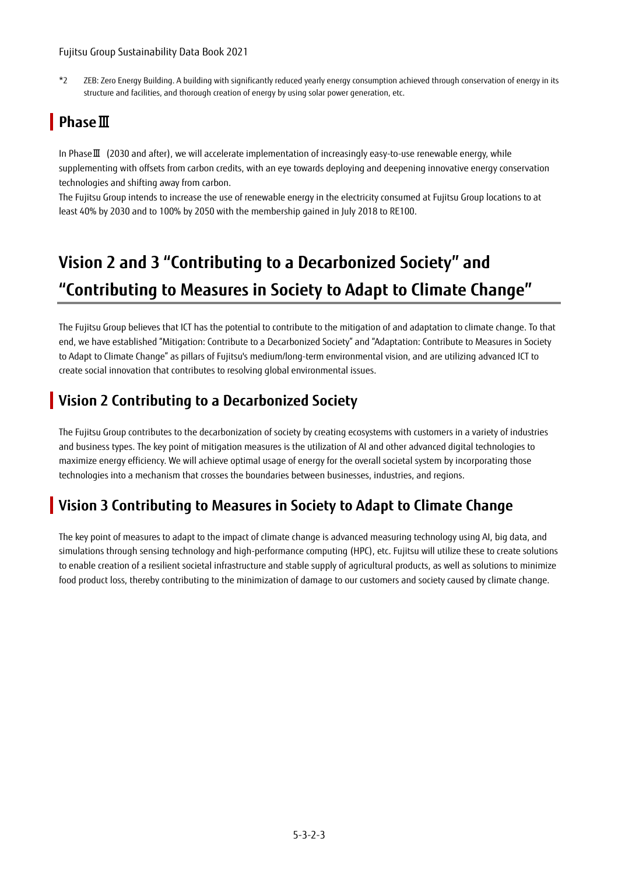### Fujitsu Group Sustainability Data Book 2021

\*2 ZEB: Zero Energy Building. A building with significantly reduced yearly energy consumption achieved through conservation of energy in its structure and facilities, and thorough creation of energy by using solar power generation, etc.

## **Phase**Ⅲ

In PhaseⅢ (2030 and after), we will accelerate implementation of increasingly easy-to-use renewable energy, while supplementing with offsets from carbon credits, with an eye towards deploying and deepening innovative energy conservation technologies and shifting away from carbon.

The Fujitsu Group intends to increase the use of renewable energy in the electricity consumed at Fujitsu Group locations to at least 40% by 2030 and to 100% by 2050 with the membership gained in July 2018 to RE100.

# **Vision 2 and 3 "Contributing to a Decarbonized Society" and "Contributing to Measures in Society to Adapt to Climate Change"**

The Fujitsu Group believes that ICT has the potential to contribute to the mitigation of and adaptation to climate change. To that end, we have established "Mitigation: Contribute to a Decarbonized Society" and "Adaptation: Contribute to Measures in Society to Adapt to Climate Change" as pillars of Fujitsu's medium/long-term environmental vision, and are utilizing advanced ICT to create social innovation that contributes to resolving global environmental issues.

## **Vision 2 Contributing to a Decarbonized Society**

The Fujitsu Group contributes to the decarbonization of society by creating ecosystems with customers in a variety of industries and business types. The key point of mitigation measures is the utilization of AI and other advanced digital technologies to maximize energy efficiency. We will achieve optimal usage of energy for the overall societal system by incorporating those technologies into a mechanism that crosses the boundaries between businesses, industries, and regions.

### **Vision 3 Contributing to Measures in Society to Adapt to Climate Change**

The key point of measures to adapt to the impact of climate change is advanced measuring technology using AI, big data, and simulations through sensing technology and high-performance computing (HPC), etc. Fujitsu will utilize these to create solutions to enable creation of a resilient societal infrastructure and stable supply of agricultural products, as well as solutions to minimize food product loss, thereby contributing to the minimization of damage to our customers and society caused by climate change.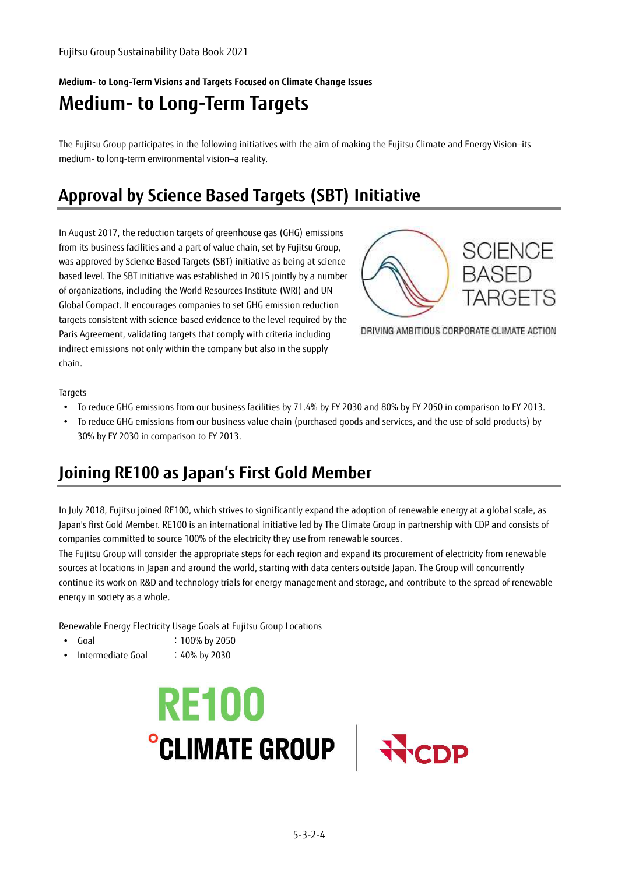**Medium- to Long-Term Visions and Targets Focused on Climate Change Issues** 

## **Medium- to Long-Term Targets**

The Fujitsu Group participates in the following initiatives with the aim of making the Fujitsu Climate and Energy Vision—its medium- to long-term environmental vision—a reality.

## **Approval by Science Based Targets (SBT) Initiative**

In August 2017, the reduction targets of greenhouse gas (GHG) emissions from its business facilities and a part of value chain, set by Fujitsu Group, was approved by Science Based Targets (SBT) initiative as being at science based level. The SBT initiative was established in 2015 jointly by a number of organizations, including the World Resources Institute (WRI) and UN Global Compact. It encourages companies to set GHG emission reduction targets consistent with science-based evidence to the level required by the Paris Agreement, validating targets that comply with criteria including indirect emissions not only within the company but also in the supply chain.



DRIVING AMBITIOUS CORPORATE CLIMATE ACTION

**Targets** 

- To reduce GHG emissions from our business facilities by 71.4% by FY 2030 and 80% by FY 2050 in comparison to FY 2013.
- To reduce GHG emissions from our business value chain (purchased goods and services, and the use of sold products) by 30% by FY 2030 in comparison to FY 2013.

## **Joining RE100 as Japan's First Gold Member**

In July 2018, Fujitsu joined RE100, which strives to significantly expand the adoption of renewable energy at a global scale, as Japan's first Gold Member. RE100 is an international initiative led by The Climate Group in partnership with CDP and consists of companies committed to source 100% of the electricity they use from renewable sources.

The Fujitsu Group will consider the appropriate steps for each region and expand its procurement of electricity from renewable sources at locations in Japan and around the world, starting with data centers outside Japan. The Group will concurrently continue its work on R&D and technology trials for energy management and storage, and contribute to the spread of renewable energy in society as a whole.

Renewable Energy Electricity Usage Goals at Fujitsu Group Locations

- Goal : 100% by 2050
- Intermediate Goal : 40% by 2030



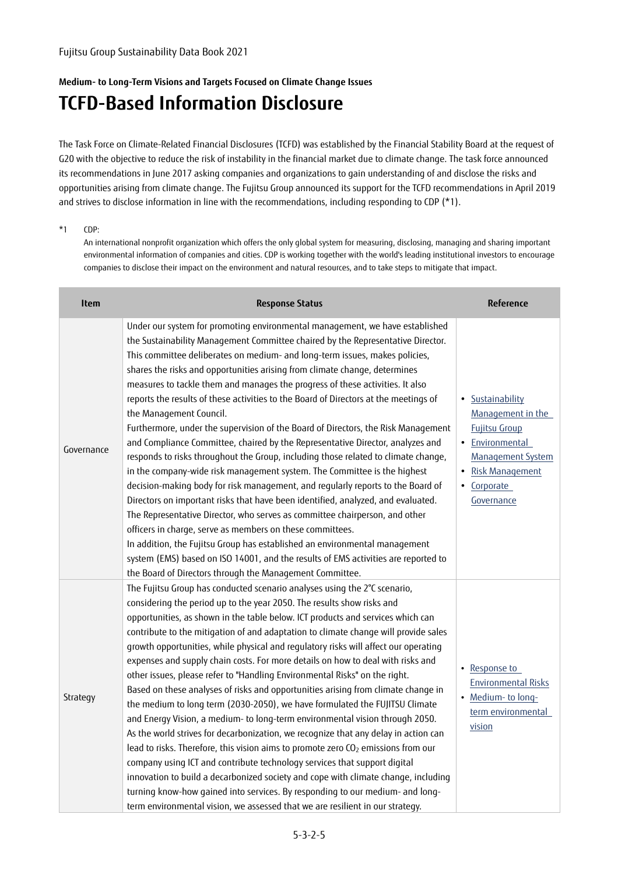### **Medium- to Long-Term Visions and Targets Focused on Climate Change Issues**

## **TCFD-Based Information Disclosure**

The Task Force on Climate-Related Financial Disclosures (TCFD) was established by the Financial Stability Board at the request of G20 with the objective to reduce the risk of instability in the financial market due to climate change. The task force announced its recommendations in June 2017 asking companies and organizations to gain understanding of and disclose the risks and opportunities arising from climate change. The Fujitsu Group announced its support for the TCFD recommendations in April 2019 and strives to disclose information in line with the recommendations, including responding to CDP (\*1).

#### \*1 CDP:

An international nonprofit organization which offers the only global system for measuring, disclosing, managing and sharing important environmental information of companies and cities. CDP is working together with the world's leading institutional investors to encourage companies to disclose their impact on the environment and natural resources, and to take steps to mitigate that impact.

| <b>Item</b> | <b>Response Status</b>                                                                                                                                                                                                                                                                                                                                                                                                                                                                                                                                                                                                                                                                                                                                                                                                                                                                                                                                                                                                                                                                                                                                                                                                                                                                                                                                                                                                       | <b>Reference</b>                                                                                                                                                   |
|-------------|------------------------------------------------------------------------------------------------------------------------------------------------------------------------------------------------------------------------------------------------------------------------------------------------------------------------------------------------------------------------------------------------------------------------------------------------------------------------------------------------------------------------------------------------------------------------------------------------------------------------------------------------------------------------------------------------------------------------------------------------------------------------------------------------------------------------------------------------------------------------------------------------------------------------------------------------------------------------------------------------------------------------------------------------------------------------------------------------------------------------------------------------------------------------------------------------------------------------------------------------------------------------------------------------------------------------------------------------------------------------------------------------------------------------------|--------------------------------------------------------------------------------------------------------------------------------------------------------------------|
| Governance  | Under our system for promoting environmental management, we have established<br>the Sustainability Management Committee chaired by the Representative Director.<br>This committee deliberates on medium- and long-term issues, makes policies,<br>shares the risks and opportunities arising from climate change, determines<br>measures to tackle them and manages the progress of these activities. It also<br>reports the results of these activities to the Board of Directors at the meetings of<br>the Management Council.<br>Furthermore, under the supervision of the Board of Directors, the Risk Management<br>and Compliance Committee, chaired by the Representative Director, analyzes and<br>responds to risks throughout the Group, including those related to climate change,<br>in the company-wide risk management system. The Committee is the highest<br>decision-making body for risk management, and regularly reports to the Board of<br>Directors on important risks that have been identified, analyzed, and evaluated.<br>The Representative Director, who serves as committee chairperson, and other<br>officers in charge, serve as members on these committees.<br>In addition, the Fujitsu Group has established an environmental management<br>system (EMS) based on ISO 14001, and the results of EMS activities are reported to<br>the Board of Directors through the Management Committee. | Sustainability<br>$\bullet$<br>Management in the<br><b>Fujitsu Group</b><br>• Environmental<br>Management System<br>• Risk Management<br>• Corporate<br>Governance |
| Strategy    | The Fujitsu Group has conducted scenario analyses using the 2°C scenario,<br>considering the period up to the year 2050. The results show risks and<br>opportunities, as shown in the table below. ICT products and services which can<br>contribute to the mitigation of and adaptation to climate change will provide sales<br>growth opportunities, while physical and regulatory risks will affect our operating<br>expenses and supply chain costs. For more details on how to deal with risks and<br>other issues, please refer to "Handling Environmental Risks" on the right.<br>Based on these analyses of risks and opportunities arising from climate change in<br>the medium to long term (2030-2050), we have formulated the FUJITSU Climate<br>and Energy Vision, a medium- to long-term environmental vision through 2050.<br>As the world strives for decarbonization, we recognize that any delay in action can<br>lead to risks. Therefore, this vision aims to promote zero CO <sub>2</sub> emissions from our<br>company using ICT and contribute technology services that support digital<br>innovation to build a decarbonized society and cope with climate change, including<br>turning know-how gained into services. By responding to our medium- and long-<br>term environmental vision, we assessed that we are resilient in our strategy.                                                       | • Response to<br><b>Environmental Risks</b><br>• Medium-to long-<br>term environmental<br>vision                                                                   |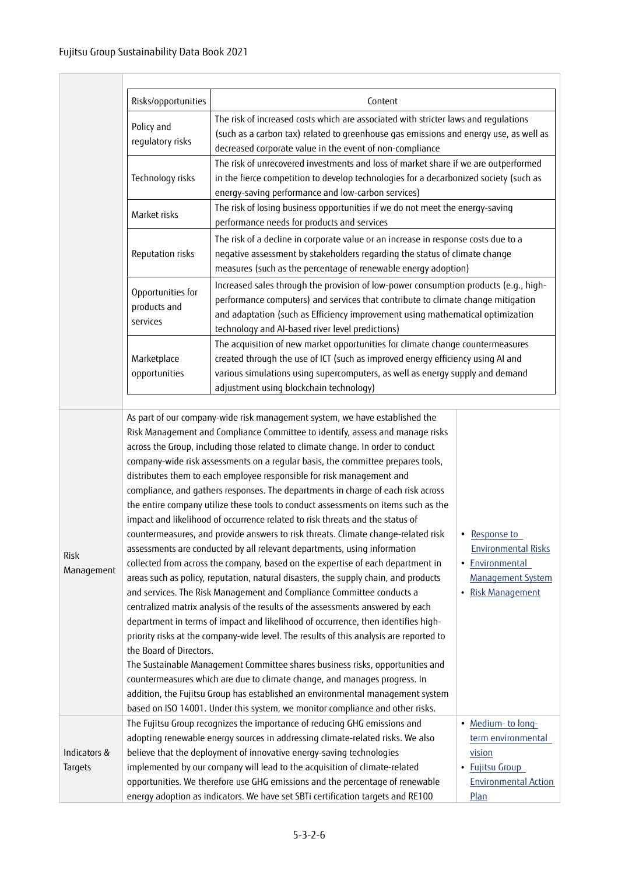|                         | Risks/opportunities                                                                                                                                                                                                                                                                                                                                                                                                                                                                                                                                                                                                                                                                                                                                                                                                                                                                                                                                                                                                                                                                                                                                                                                                                                                                                                                                                                                                                                                                                                                                                                                                                                                                                                                                                                                                                             | Content                                                                                                                                                                                                                                                                                       |  |  |  |  |
|-------------------------|-------------------------------------------------------------------------------------------------------------------------------------------------------------------------------------------------------------------------------------------------------------------------------------------------------------------------------------------------------------------------------------------------------------------------------------------------------------------------------------------------------------------------------------------------------------------------------------------------------------------------------------------------------------------------------------------------------------------------------------------------------------------------------------------------------------------------------------------------------------------------------------------------------------------------------------------------------------------------------------------------------------------------------------------------------------------------------------------------------------------------------------------------------------------------------------------------------------------------------------------------------------------------------------------------------------------------------------------------------------------------------------------------------------------------------------------------------------------------------------------------------------------------------------------------------------------------------------------------------------------------------------------------------------------------------------------------------------------------------------------------------------------------------------------------------------------------------------------------|-----------------------------------------------------------------------------------------------------------------------------------------------------------------------------------------------------------------------------------------------------------------------------------------------|--|--|--|--|
|                         | Policy and<br>regulatory risks                                                                                                                                                                                                                                                                                                                                                                                                                                                                                                                                                                                                                                                                                                                                                                                                                                                                                                                                                                                                                                                                                                                                                                                                                                                                                                                                                                                                                                                                                                                                                                                                                                                                                                                                                                                                                  | The risk of increased costs which are associated with stricter laws and regulations<br>(such as a carbon tax) related to greenhouse gas emissions and energy use, as well as                                                                                                                  |  |  |  |  |
|                         | Technology risks                                                                                                                                                                                                                                                                                                                                                                                                                                                                                                                                                                                                                                                                                                                                                                                                                                                                                                                                                                                                                                                                                                                                                                                                                                                                                                                                                                                                                                                                                                                                                                                                                                                                                                                                                                                                                                | decreased corporate value in the event of non-compliance<br>The risk of unrecovered investments and loss of market share if we are outperformed<br>in the fierce competition to develop technologies for a decarbonized society (such as                                                      |  |  |  |  |
|                         | Market risks                                                                                                                                                                                                                                                                                                                                                                                                                                                                                                                                                                                                                                                                                                                                                                                                                                                                                                                                                                                                                                                                                                                                                                                                                                                                                                                                                                                                                                                                                                                                                                                                                                                                                                                                                                                                                                    | The risk of losing business opportunities if we do not meet the energy-saving                                                                                                                                                                                                                 |  |  |  |  |
|                         |                                                                                                                                                                                                                                                                                                                                                                                                                                                                                                                                                                                                                                                                                                                                                                                                                                                                                                                                                                                                                                                                                                                                                                                                                                                                                                                                                                                                                                                                                                                                                                                                                                                                                                                                                                                                                                                 | The risk of a decline in corporate value or an increase in response costs due to a                                                                                                                                                                                                            |  |  |  |  |
|                         | Reputation risks                                                                                                                                                                                                                                                                                                                                                                                                                                                                                                                                                                                                                                                                                                                                                                                                                                                                                                                                                                                                                                                                                                                                                                                                                                                                                                                                                                                                                                                                                                                                                                                                                                                                                                                                                                                                                                | negative assessment by stakeholders regarding the status of climate change<br>measures (such as the percentage of renewable energy adoption)                                                                                                                                                  |  |  |  |  |
|                         | Increased sales through the provision of low-power consumption products (e.g., high-<br>Opportunities for<br>performance computers) and services that contribute to climate change mitigation<br>products and<br>and adaptation (such as Efficiency improvement using mathematical optimization<br>services<br>technology and AI-based river level predictions)                                                                                                                                                                                                                                                                                                                                                                                                                                                                                                                                                                                                                                                                                                                                                                                                                                                                                                                                                                                                                                                                                                                                                                                                                                                                                                                                                                                                                                                                                 |                                                                                                                                                                                                                                                                                               |  |  |  |  |
|                         | Marketplace<br>opportunities                                                                                                                                                                                                                                                                                                                                                                                                                                                                                                                                                                                                                                                                                                                                                                                                                                                                                                                                                                                                                                                                                                                                                                                                                                                                                                                                                                                                                                                                                                                                                                                                                                                                                                                                                                                                                    | The acquisition of new market opportunities for climate change countermeasures<br>created through the use of ICT (such as improved energy efficiency using AI and<br>various simulations using supercomputers, as well as energy supply and demand<br>adjustment using blockchain technology) |  |  |  |  |
| Risk<br>Management      | As part of our company-wide risk management system, we have established the<br>Risk Management and Compliance Committee to identify, assess and manage risks<br>across the Group, including those related to climate change. In order to conduct<br>company-wide risk assessments on a regular basis, the committee prepares tools,<br>distributes them to each employee responsible for risk management and<br>compliance, and gathers responses. The departments in charge of each risk across<br>the entire company utilize these tools to conduct assessments on items such as the<br>impact and likelihood of occurrence related to risk threats and the status of<br>countermeasures, and provide answers to risk threats. Climate change-related risk<br>Response to<br>$\bullet$<br><b>Environmental Risks</b><br>assessments are conducted by all relevant departments, using information<br>collected from across the company, based on the expertise of each department in<br>· Environmental<br>areas such as policy, reputation, natural disasters, the supply chain, and products<br>Management System<br>and services. The Risk Management and Compliance Committee conducts a<br>· Risk Management<br>centralized matrix analysis of the results of the assessments answered by each<br>department in terms of impact and likelihood of occurrence, then identifies high-<br>priority risks at the company-wide level. The results of this analysis are reported to<br>the Board of Directors.<br>The Sustainable Management Committee shares business risks, opportunities and<br>countermeasures which are due to climate change, and manages progress. In<br>addition, the Fujitsu Group has established an environmental management system<br>based on ISO 14001. Under this system, we monitor compliance and other risks. |                                                                                                                                                                                                                                                                                               |  |  |  |  |
| Indicators &<br>Targets | The Fujitsu Group recognizes the importance of reducing GHG emissions and<br>adopting renewable energy sources in addressing climate-related risks. We also<br>believe that the deployment of innovative energy-saving technologies<br>implemented by our company will lead to the acquisition of climate-related<br>opportunities. We therefore use GHG emissions and the percentage of renewable<br>energy adoption as indicators. We have set SBTi certification targets and RE100                                                                                                                                                                                                                                                                                                                                                                                                                                                                                                                                                                                                                                                                                                                                                                                                                                                                                                                                                                                                                                                                                                                                                                                                                                                                                                                                                           | · Medium- to long-<br>term environmental<br>vision<br>• Fujitsu Group<br><b>Environmental Action</b><br>Plan                                                                                                                                                                                  |  |  |  |  |